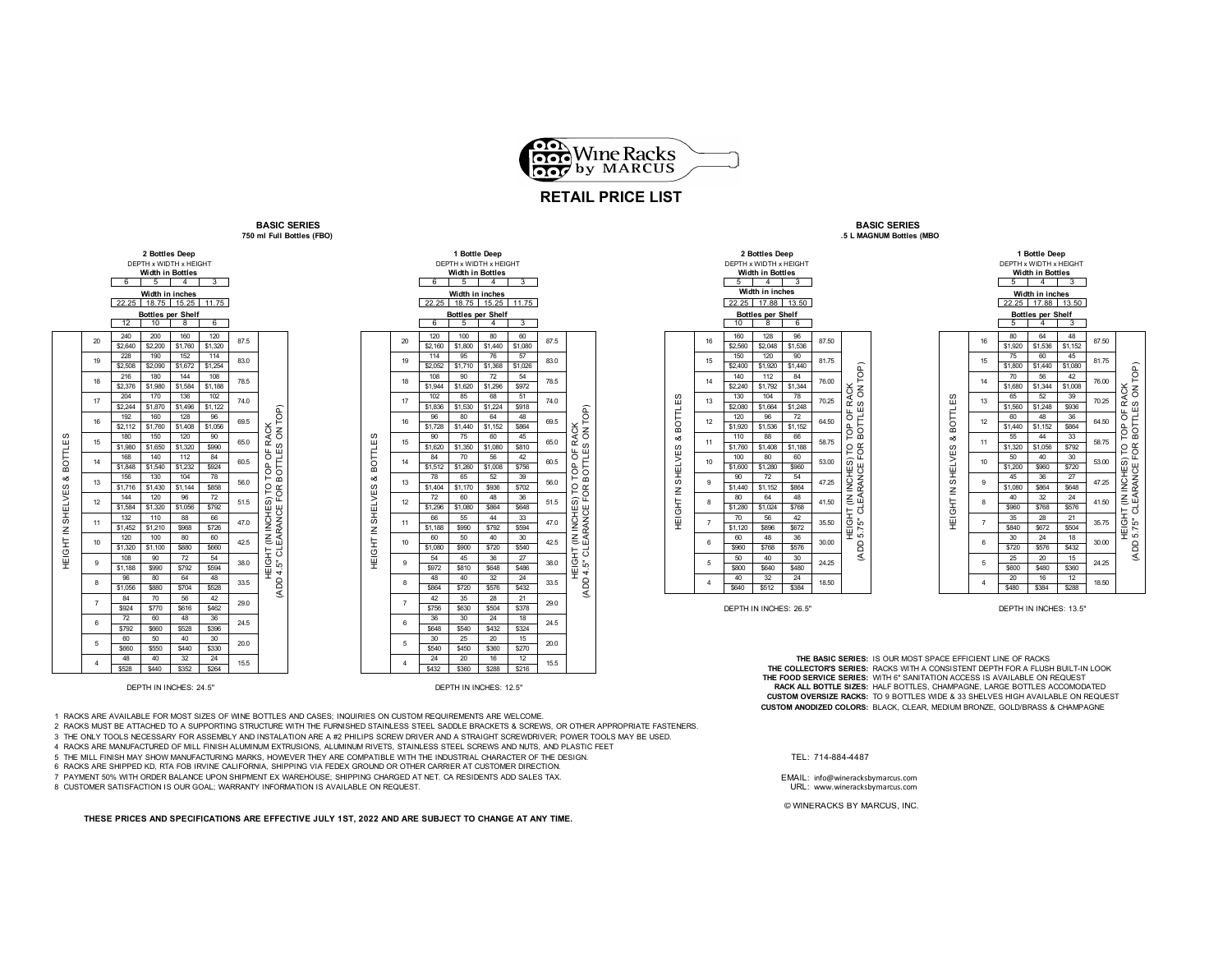

## **RETAIL PRICE LIST**

**BASIC SERIES 750 ml Full Bottles (FBO)** 









DEPTH IN INCHES: 26.5" DEPTH IN INCHES: 13.5"

48 40 32 24 24 20 16 12 **THE BASIC SERIES:** IS OUR MOST SPACE EFFICIENT LINE OF RACKS \$528 \$440 \$352 \$264 \$432 \$360 \$288 \$216 **THE COLLECTOR'S SERIES:** RACKS WITH A CONSISTENT DEPTH FOR A FLUSH BUILT-IN LOOK **THE FOOD SERVICE SERIES:** WITH 6" SANITATION ACCESS IS AVAILABLE ON REQUEST **RACK ALL BOTTLE SIZES:** HALF BOTTLES, CHAMPAGNE, LARGE BOTTLES ACCOMODATED **CUSTOM OVERSIZE RACKS:** TO 9 BOTTLES WIDE & 33 SHELVES HIGH AVAILABLE ON REQUEST **CUSTOM ANODIZED COLORS:** BLACK, CLEAR, MEDIUM BRONZE, GOLD/BRASS & CHAMPAGNE

**BASIC SERIES**

1 RACKS ARE AVAILABLE FOR MOST SIZES OF WINE BOTTLES AND CASES; INQUIRIES ON CUSTOM REQUIREMENTS ARE WELCOME.

2 RACKS MUST BE ATTACHED TO A SUPPORTING STRUCTURE WITH THE FURNISHED STAINLESS STEEL SADDLE BRACKETS & SCREWS, OR OTHER APPROPRIATE FASTENERS.

3 THE ONLY TOOLS NECESSARY FOR ASSEMBLY AND INSTALATION ARE A #2 PHILIPS SCREW DRIVER AND A STRAIGHT SCREWDRIVER; POWER TOOLS MAY BE USED.

4 RACKS ARE MANUFACTURED OF MILL FINISH ALUMINUM EXTRUSIONS, ALUMINUM RIVETS, STAINLESS STEEL SCREWS AND NUTS, AND PLASTIC FEET

5 THE MILL FINISH MAY SHOW MANUFACTURING MARKS, HOWEVER THEY ARE COMPATIBLE WITH THE INDUSTRIAL CHARACTER OF THE DESIGN. TEL: 714-884-4487

6 RACKS ARE SHIPPED KD, RTA FOB IRVINE CALIFORNIA, SHIPPING VIA FEDEX GROUND OR OTHER CARRIER AT CUSTOMER DIRECTION.

7 PAYMENT 50% WITH ORDER BALANCE UPON SHIPMENT EX WAREHOUSE; SHIPPING CHARGED AT NET. CA RESIDENTS ADD SALES TAX. EMAIL: info@wineracksbymarcus.com

8 CUSTOMER SATISFACTION IS OUR GOAL; WARRANTY INFORMATION IS AVAILABLE ON REQUEST.

**THESE PRICES AND SPECIFICATIONS ARE EFFECTIVE JULY 1ST, 2022 AND ARE SUBJECT TO CHANGE AT ANY TIME.**

© WINERACKS BY MARCUS, INC.